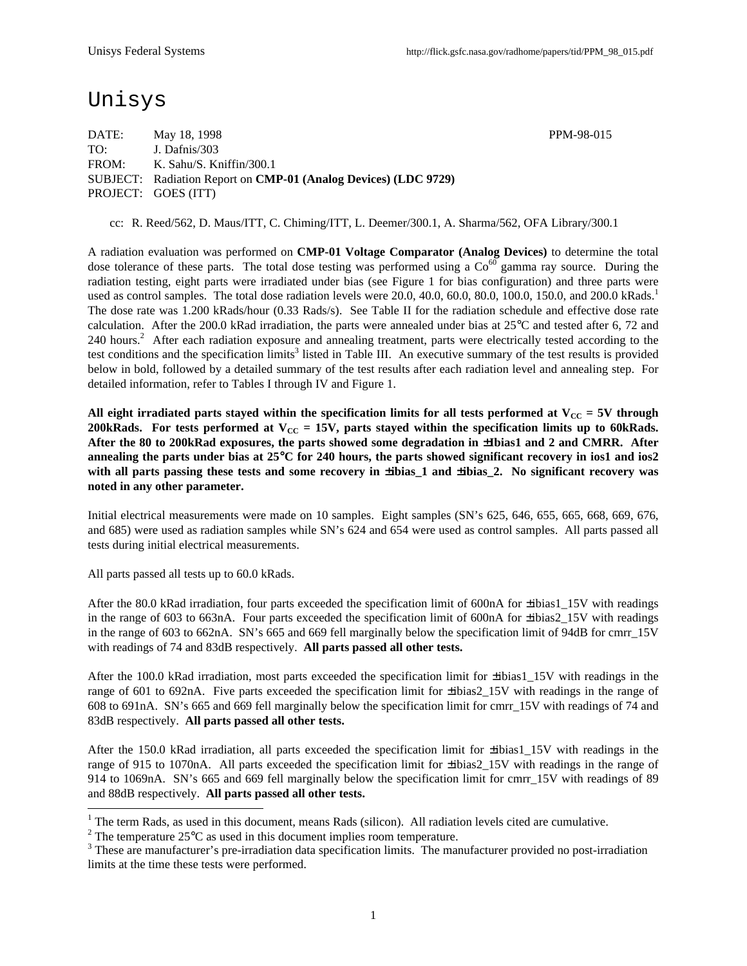## Unisys

DATE: May 18, 1998 PPM-98-015 TO: J. Dafnis/303 FROM: K. Sahu/S. Kniffin/300.1 SUBJECT: Radiation Report on **CMP-01 (Analog Devices) (LDC 9729)** PROJECT: GOES (ITT)

cc: R. Reed/562, D. Maus/ITT, C. Chiming/ITT, L. Deemer/300.1, A. Sharma/562, OFA Library/300.1

A radiation evaluation was performed on **CMP-01 Voltage Comparator (Analog Devices)** to determine the total dose tolerance of these parts. The total dose testing was performed using a  $Co<sup>60</sup>$  gamma ray source. During the radiation testing, eight parts were irradiated under bias (see Figure 1 for bias configuration) and three parts were used as control samples. The total dose radiation levels were  $20.0, 40.0, 60.0, 80.0, 100.0, 150.0,$  and  $200.0$  kRads.<sup>1</sup> The dose rate was 1.200 kRads/hour (0.33 Rads/s). See Table II for the radiation schedule and effective dose rate calculation. After the 200.0 kRad irradiation, the parts were annealed under bias at 25°C and tested after 6, 72 and 240 hours.<sup>2</sup> After each radiation exposure and annealing treatment, parts were electrically tested according to the test conditions and the specification limits<sup>3</sup> listed in Table III. An executive summary of the test results is provided below in bold, followed by a detailed summary of the test results after each radiation level and annealing step. For detailed information, refer to Tables I through IV and Figure 1.

All eight irradiated parts stayed within the specification limits for all tests performed at  $V_{CC} = 5V$  through **200kRads.** For tests performed at  $V_{CC} = 15V$ , parts stayed within the specification limits up to 60kRads. **After the 80 to 200kRad exposures, the parts showed some degradation in** ±**Ibias1 and 2 and CMRR. After annealing the parts under bias at 25**°**C for 240 hours, the parts showed significant recovery in ios1 and ios2** with all parts passing these tests and some recovery in  $\pm$ **ibias** 1 and  $\pm$ **ibias** 2. No significant recovery was **noted in any other parameter.**

Initial electrical measurements were made on 10 samples. Eight samples (SN's 625, 646, 655, 665, 668, 669, 676, and 685) were used as radiation samples while SN's 624 and 654 were used as control samples. All parts passed all tests during initial electrical measurements.

All parts passed all tests up to 60.0 kRads.

After the 80.0 kRad irradiation, four parts exceeded the specification limit of 600nA for ±ibias1\_15V with readings in the range of 603 to 663nA. Four parts exceeded the specification limit of 600nA for  $\pm$ ibias2 15V with readings in the range of 603 to 662nA. SN's 665 and 669 fell marginally below the specification limit of 94dB for cmrr 15V with readings of 74 and 83dB respectively. **All parts passed all other tests.**

After the 100.0 kRad irradiation, most parts exceeded the specification limit for ±ibias1\_15V with readings in the range of 601 to 692nA. Five parts exceeded the specification limit for ±ibias2\_15V with readings in the range of 608 to 691nA. SN's 665 and 669 fell marginally below the specification limit for cmrr\_15V with readings of 74 and 83dB respectively. **All parts passed all other tests.**

After the 150.0 kRad irradiation, all parts exceeded the specification limit for  $\pm$ ibias1 15V with readings in the range of 915 to 1070nA. All parts exceeded the specification limit for ±ibias2\_15V with readings in the range of 914 to 1069nA. SN's 665 and 669 fell marginally below the specification limit for cmrr\_15V with readings of 89 and 88dB respectively. **All parts passed all other tests.**

<sup>&</sup>lt;sup>1</sup> The term Rads, as used in this document, means Rads (silicon). All radiation levels cited are cumulative.

<sup>&</sup>lt;sup>2</sup> The temperature 25 $\rm{°C}$  as used in this document implies room temperature.

 $3$  These are manufacturer's pre-irradiation data specification limits. The manufacturer provided no post-irradiation limits at the time these tests were performed.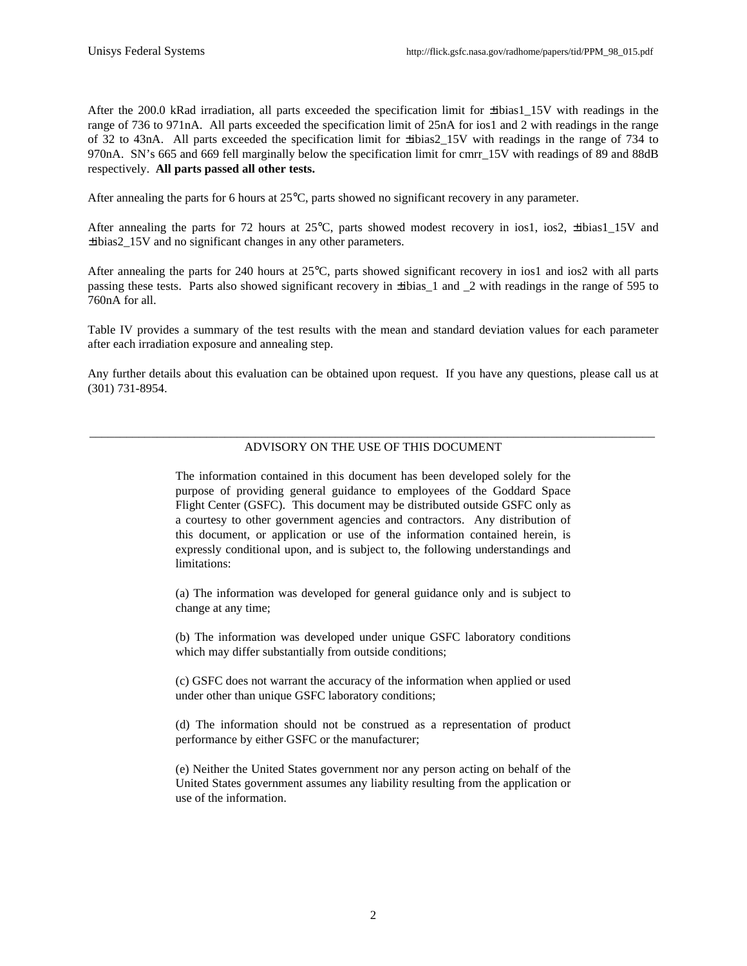After the 200.0 kRad irradiation, all parts exceeded the specification limit for ±ibias1\_15V with readings in the range of 736 to 971nA. All parts exceeded the specification limit of 25nA for ios1 and 2 with readings in the range of 32 to 43nA. All parts exceeded the specification limit for ±ibias2\_15V with readings in the range of 734 to 970nA. SN's 665 and 669 fell marginally below the specification limit for cmrr\_15V with readings of 89 and 88dB respectively. **All parts passed all other tests.**

After annealing the parts for 6 hours at 25°C, parts showed no significant recovery in any parameter.

After annealing the parts for 72 hours at 25°C, parts showed modest recovery in ios1, ios2,  $\pm$ ibias1\_15V and ±ibias2\_15V and no significant changes in any other parameters.

After annealing the parts for 240 hours at 25°C, parts showed significant recovery in ios1 and ios2 with all parts passing these tests. Parts also showed significant recovery in ±ibias\_1 and \_2 with readings in the range of 595 to 760nA for all.

Table IV provides a summary of the test results with the mean and standard deviation values for each parameter after each irradiation exposure and annealing step.

Any further details about this evaluation can be obtained upon request. If you have any questions, please call us at (301) 731-8954.

#### \_\_\_\_\_\_\_\_\_\_\_\_\_\_\_\_\_\_\_\_\_\_\_\_\_\_\_\_\_\_\_\_\_\_\_\_\_\_\_\_\_\_\_\_\_\_\_\_\_\_\_\_\_\_\_\_\_\_\_\_\_\_\_\_\_\_\_\_\_\_\_\_\_\_\_\_\_\_\_\_\_\_\_\_\_\_\_\_\_\_\_\_ ADVISORY ON THE USE OF THIS DOCUMENT

The information contained in this document has been developed solely for the purpose of providing general guidance to employees of the Goddard Space Flight Center (GSFC). This document may be distributed outside GSFC only as a courtesy to other government agencies and contractors. Any distribution of this document, or application or use of the information contained herein, is expressly conditional upon, and is subject to, the following understandings and limitations:

(a) The information was developed for general guidance only and is subject to change at any time;

(b) The information was developed under unique GSFC laboratory conditions which may differ substantially from outside conditions;

(c) GSFC does not warrant the accuracy of the information when applied or used under other than unique GSFC laboratory conditions;

(d) The information should not be construed as a representation of product performance by either GSFC or the manufacturer;

(e) Neither the United States government nor any person acting on behalf of the United States government assumes any liability resulting from the application or use of the information.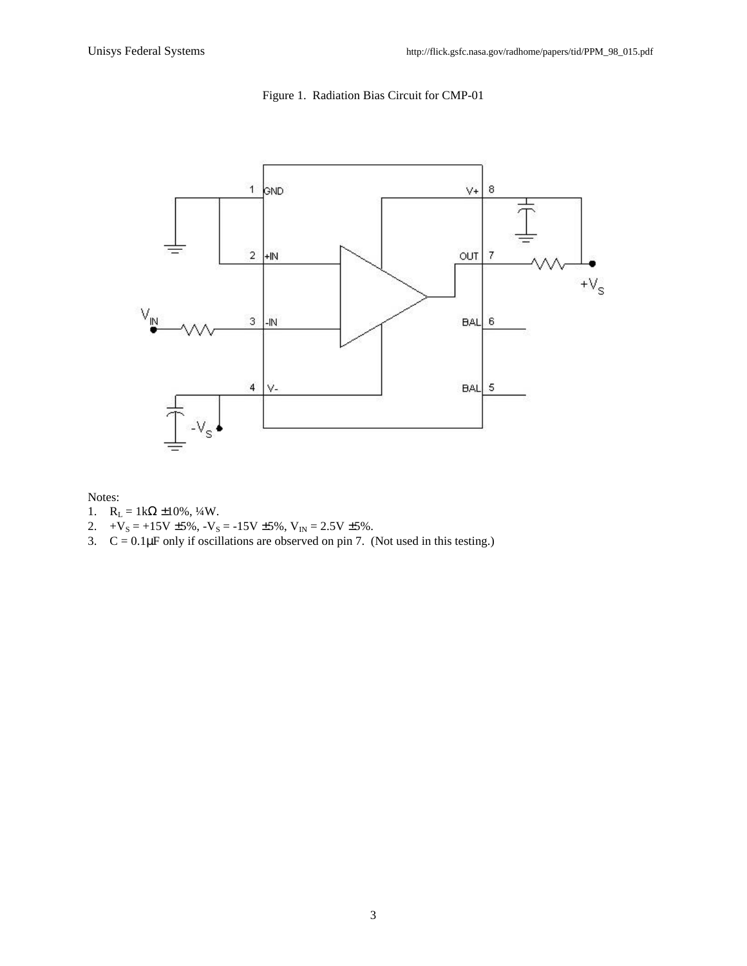

## Figure 1. Radiation Bias Circuit for CMP-01

Notes:

- 1.  $R_L = 1kΩ ± 10%, ½W$ .
- 2.  $+V_s = +15V \pm 5\%, -V_s = -15V \pm 5\%, V_{IN} = 2.5V \pm 5\%.$
- 3.  $C = 0.1 \mu$ F only if oscillations are observed on pin 7. (Not used in this testing.)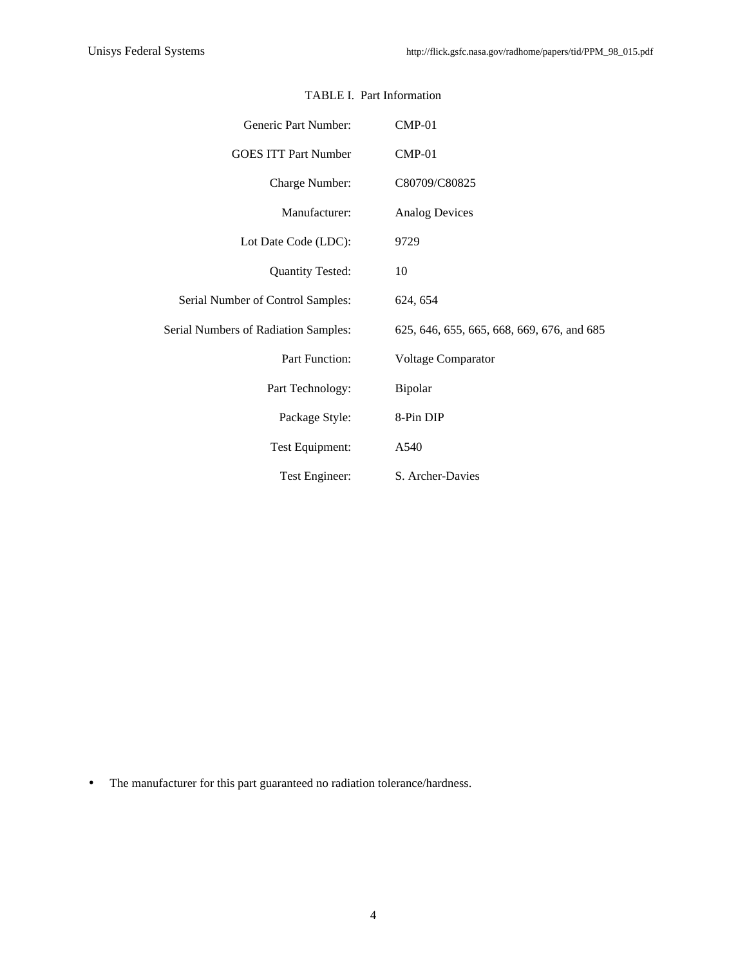| Generic Part Number:                 | $CMP-01$                                   |  |  |  |  |  |  |  |  |
|--------------------------------------|--------------------------------------------|--|--|--|--|--|--|--|--|
| <b>GOES ITT Part Number</b>          | $CMP-01$                                   |  |  |  |  |  |  |  |  |
| Charge Number:                       | C80709/C80825                              |  |  |  |  |  |  |  |  |
| Manufacturer:                        | <b>Analog Devices</b>                      |  |  |  |  |  |  |  |  |
| Lot Date Code (LDC):                 | 9729                                       |  |  |  |  |  |  |  |  |
| <b>Quantity Tested:</b>              | 10                                         |  |  |  |  |  |  |  |  |
| Serial Number of Control Samples:    | 624, 654                                   |  |  |  |  |  |  |  |  |
| Serial Numbers of Radiation Samples: | 625, 646, 655, 665, 668, 669, 676, and 685 |  |  |  |  |  |  |  |  |
| Part Function:                       | <b>Voltage Comparator</b>                  |  |  |  |  |  |  |  |  |
| Part Technology:                     | Bipolar                                    |  |  |  |  |  |  |  |  |
| Package Style:                       | 8-Pin DIP                                  |  |  |  |  |  |  |  |  |
| Test Equipment:                      | A540                                       |  |  |  |  |  |  |  |  |
| Test Engineer:                       | S. Archer-Davies                           |  |  |  |  |  |  |  |  |

### TABLE I. Part Information

• The manufacturer for this part guaranteed no radiation tolerance/hardness.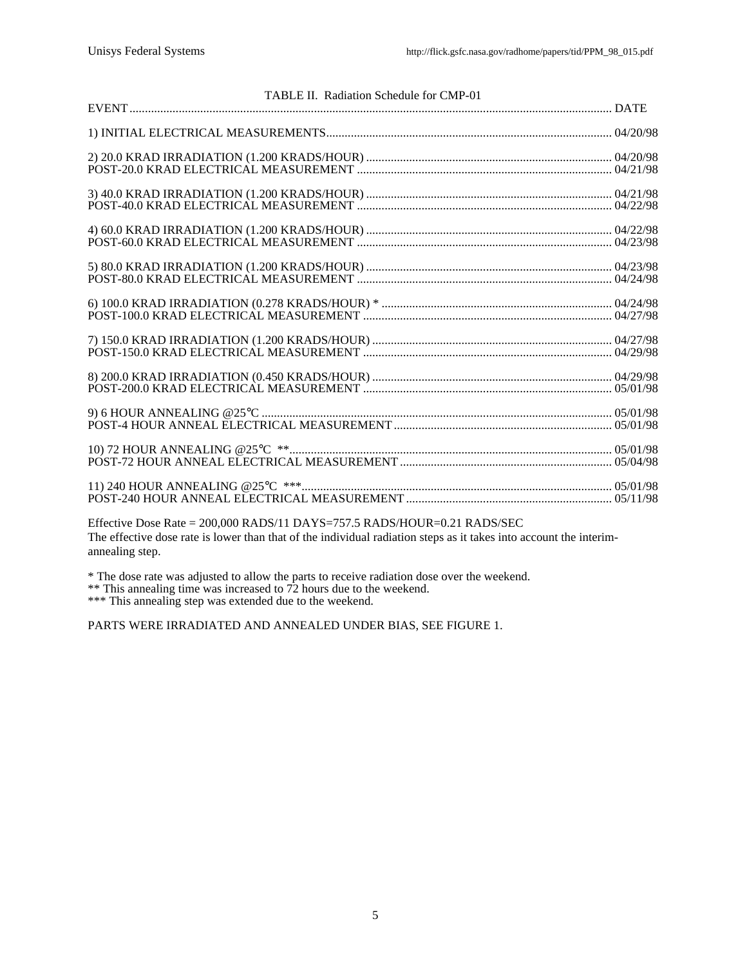| TABLE II. Radiation Schedule for CMP-01 |  |
|-----------------------------------------|--|
|                                         |  |
|                                         |  |
|                                         |  |
|                                         |  |
|                                         |  |
|                                         |  |
|                                         |  |
|                                         |  |
|                                         |  |
|                                         |  |
|                                         |  |

Effective Dose Rate = 200,000 RADS/11 DAYS=757.5 RADS/HOUR=0.21 RADS/SEC The effective dose rate is lower than that of the individual radiation steps as it takes into account the interimannealing step.

\* The dose rate was adjusted to allow the parts to receive radiation dose over the weekend.

\*\* This annealing time was increased to 72 hours due to the weekend.

\*\*\* This annealing step was extended due to the weekend.

PARTS WERE IRRADIATED AND ANNEALED UNDER BIAS, SEE FIGURE 1.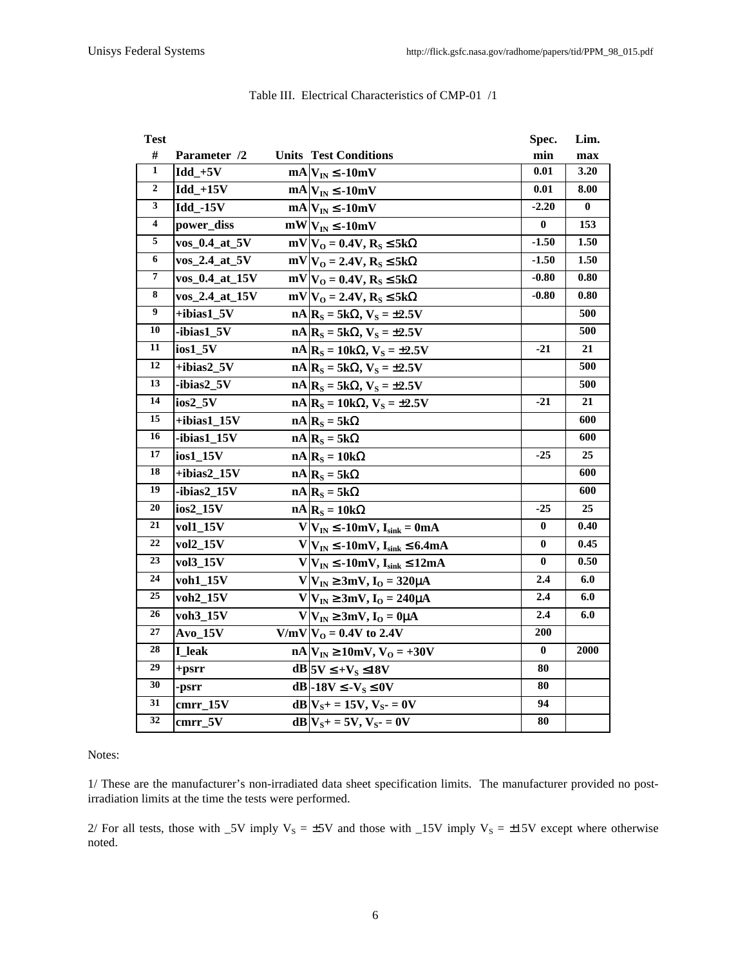| <b>Test</b>             |                           |                                                           | Spec.            | Lim.     |
|-------------------------|---------------------------|-----------------------------------------------------------|------------------|----------|
| $\#$                    | Parameter /2              | <b>Units Test Conditions</b>                              | min              | max      |
| $\mathbf{1}$            | $Idd + 5V$                | $mA V_{IN} \le -10mV$                                     | $0.01\,$         | 3.20     |
| $\boldsymbol{2}$        | $Idd + 15V$               | $mA$ <sub>IN</sub> $\leq$ -10mV                           | 0.01             | 8.00     |
| 3                       | <b>Idd_-15V</b>           | $mA V_{IN} \le -10mV$                                     | $-2.20$          | $\bf{0}$ |
| $\overline{\mathbf{4}}$ | power_diss                | $mW V_{IN} \le -10mV$                                     | $\bf{0}$         | 153      |
| 5                       | vos_0.4_at_5V             | $mV V_0 = 0.4V, R_S \leq 5k\Omega$                        | $-1.50$          | 1.50     |
| 6                       | vos 2.4 at 5V             | $mV V_0 = 2.4V, R_S \leq 5k\Omega$                        | $-1.50$          | 1.50     |
| 7                       | vos_0.4_at_15V            | $mV V_0 = 0.4V, R_S \leq 5k\Omega$                        | $-0.80$          | 0.80     |
| 8                       | vos_2.4_at_15V            | $mV V_0 = 2.4V, R_S \leq 5k\Omega$                        | $-0.80$          | 0.80     |
| 9                       | +ibias1_5V                | $nA$ <sub>S</sub> = 5k $\Omega$ , V <sub>S</sub> = ±2.5V  |                  | 500      |
| 10                      | -ibias1_5V                | $nA$ <sub>S</sub> = 5k $\Omega$ , V <sub>S</sub> = ±2.5V  |                  | 500      |
| 11                      | $ios1_5V$                 | $nA   RS = 10k\Omega, VS = \pm 2.5V$                      | $-21$            | 21       |
| 12                      | +ibias2_5V                | $nA$ <sub>S</sub> = 5k $\Omega$ , V <sub>S</sub> = ±2.5V  |                  | 500      |
| 13                      | -ibias2_5V                | $nA$ <sub>S</sub> = 5k $\Omega$ , V <sub>S</sub> = ±2.5V  |                  | 500      |
| 14                      | ios2_5V                   | $nA$ <sub>S</sub> = 10k $\Omega$ , V <sub>S</sub> = ±2.5V | $-21$            | 21       |
| 15                      | $+ibias1_15V$             | $nA   R_S = 5k\Omega$                                     |                  | 600      |
| 16                      | -ibias1_15V               | $nA$ <sub>S</sub> = 5k $\Omega$                           |                  | 600      |
| 17                      | ios1_15V                  | $nA   R_S = 10k\Omega$                                    | $-25$            | 25       |
| 18                      | $\overline{+}$ ibias2_15V | $nA$ <sub>S</sub> = 5k $\Omega$                           |                  | 600      |
| 19                      | -ibias2_15V               | $nA$ <sub>S</sub> = 5k $\Omega$                           |                  | 600      |
| 20                      | ios2_15V                  | $nA R_S = 10k\Omega$                                      | $-25$            | 25       |
| 21                      | vol1 15V                  | $V V_{IN} \le -10$ mV, $I_{sink} = 0$ mA                  | $\bf{0}$         | 0.40     |
| 22                      | vol2_15V                  | $V V_{IN} \leq -10mV, I_{sink} \leq 6.4mA$                | 0                | 0.45     |
| 23                      | vol3_15V                  | $V V_{IN} \leq -10mV, I_{sink} \leq 12mA$                 | $\bf{0}$         | 0.50     |
| 24                      | voh1_15V                  | $V V_{IN} \ge 3mV$ , $I_{O} = 320\mu A$                   | 2.4              | 6.0      |
| 25                      | voh2_15V                  | $V V_{IN} \ge 3mV$ , $I_{O} = 240\mu A$                   | 2.4              | 6.0      |
| 26                      | voh3 15V                  | $V V_{IN} \ge 3mV, IO = 0\mu A$                           | $2.4\phantom{0}$ | 6.0      |
| 27                      | $Avo_15V$                 | $V/mV V_0 = 0.4V$ to 2.4V                                 | 200              |          |
| 28                      | <b>I</b> leak             | $nA V_{IN} \ge 10mV, V_{O} = +30V$                        | 0                | 2000     |
| 29                      | $+$ psrr                  | $dB$ $5V \leq +V_S \leq 18V$                              | 80               |          |
| 30                      | -psrr                     | $dB$ -18V $\leq$ -V <sub>s</sub> $\leq$ 0V                | 80               |          |
| 31                      | cmrr 15V                  | $dB V_{S^+} = 15V, V_{S^-} = 0V$                          | 94               |          |
| 32                      | cmrr_5V                   | $dB V_{S^+} = 5V$ , $V_{S^-} = 0V$                        | 80               |          |

### Table III. Electrical Characteristics of CMP-01 /1

#### Notes:

1/ These are the manufacturer's non-irradiated data sheet specification limits. The manufacturer provided no postirradiation limits at the time the tests were performed.

2/ For all tests, those with  $5V$  imply  $V_s = \pm 5V$  and those with  $15V$  imply  $V_s = \pm 15V$  except where otherwise noted.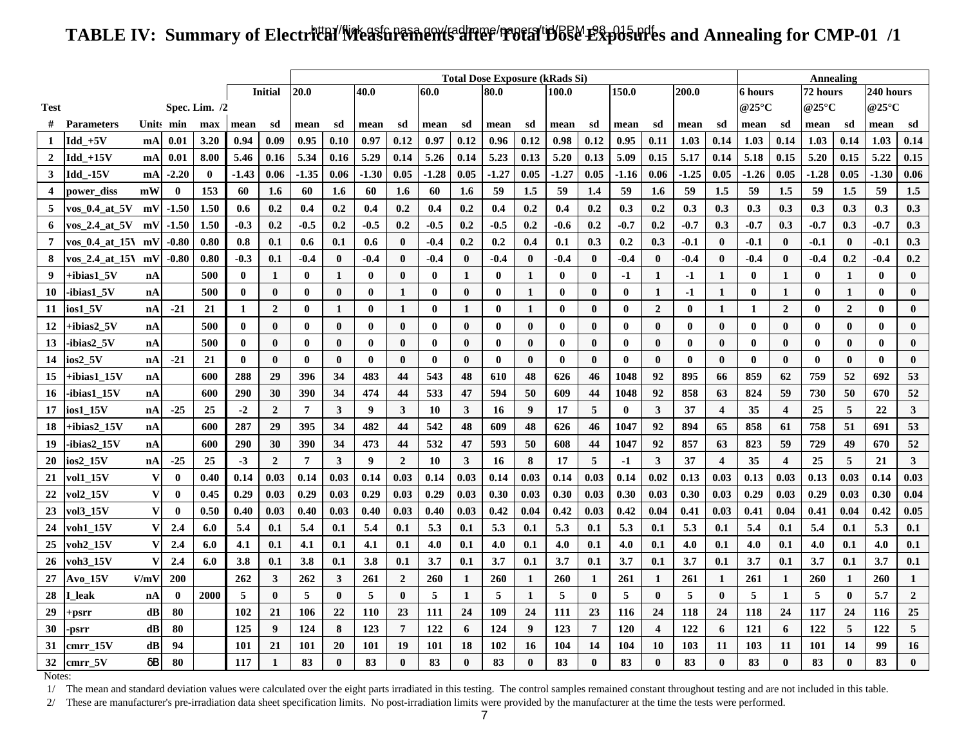# TABLE IV: Summary of Electr**ital/Neastrements after 'Potal'B**65&' Exp05urles and Annealing for CMP-01 /1

|                |                   |             |             |          |              |                  |                | <b>Total Dose Exposure (kRads Si)</b> |          |                |              |                  |          |              |          |              |          |                |              |                         | Annealing                |                         |          |                |              |                  |  |
|----------------|-------------------|-------------|-------------|----------|--------------|------------------|----------------|---------------------------------------|----------|----------------|--------------|------------------|----------|--------------|----------|--------------|----------|----------------|--------------|-------------------------|--------------------------|-------------------------|----------|----------------|--------------|------------------|--|
|                |                   |             |             |          |              | <b>Initial</b>   | 20.0           |                                       | 40.0     |                | 60.0<br>80.0 |                  |          |              | 100.0    |              | 150.0    |                | 200.0        |                         | 6 hours                  |                         | 72 hours |                | 240 hours    |                  |  |
| <b>Test</b>    | Spec. Lim. $/2$   |             |             |          |              |                  |                |                                       |          |                |              |                  |          |              |          |              | @25°C    |                | @25°C        |                         | @25 $\mathrm{^{\circ}C}$ |                         |          |                |              |                  |  |
|                | <b>Parameters</b> |             | Units min   | max      | mean         | sd               | mean           | sd                                    | mean     | sd             | mean         | sd               | mean     | sd           | mean     | sd           | mean     | sd             | mean         | sd                      | mean                     | sd                      | mean     | sd             | mean         | sd               |  |
| 1              | $Idd$ +5V         | mA          | 0.01        | 3.20     | 0.94         | 0.09             | 0.95           | 0.10                                  | 0.97     | 0.12           | 0.97         | 0.12             | 0.96     | 0.12         | 0.98     | 0.12         | 0.95     | 0.11           | 1.03         | 0.14                    | 1.03                     | 0.14                    | 1.03     | 0.14           | 1.03         | 0.14             |  |
| $\overline{2}$ | Idd_+15V          | mA          | 0.01        | 8.00     | 5.46         | 0.16             | 5.34           | 0.16                                  | 5.29     | 0.14           | 5.26         | 0.14             | 5.23     | 0.13         | 5.20     | 0.13         | 5.09     | 0.15           | 5.17         | 0.14                    | 5.18                     | 0.15                    | 5.20     | 0.15           | 5.22         | 0.15             |  |
| 3              | Idd -15V          | <b>mA</b>   | $-2.20$     | $\bf{0}$ | -1.43        | 0.06             | $-1.35$        | 0.06                                  | $-1.30$  | 0.05           | -1.28        | 0.05             | -1.27    | 0.05         | $-1.27$  | 0.05         | -1.16    | 0.06           | -1.25        | 0.05                    | $-1.26$                  | 0.05                    | $-1.28$  | 0.05           | $-1.30$      | 0.06             |  |
| 4              | power diss        | mW          | $\bf{0}$    | 153      | 60           | 1.6              | 60             | 1.6                                   | 60       | 1.6            | 60           | $1.6\phantom{0}$ | 59       | 1.5          | 59       | 1.4          | 59       | 1.6            | 59           | 1.5                     | 59                       | 1.5                     | 59       | 1.5            | 59           | 1.5              |  |
| 5              | vos_0.4_at_5V     | mV          | $-1.50$     | 1.50     | 0.6          | 0.2              | 0.4            | 0.2                                   | 0.4      | 0.2            | 0.4          | 0.2              | 0.4      | 0.2          | 0.4      | 0.2          | 0.3      | 0.2            | 0.3          | 0.3                     | 0.3                      | 0.3                     | 0.3      | 0.3            | 0.3          | 0.3              |  |
| 6              | vos_2.4_at_5V     | mV          | $-1.50$     | 1.50     | $-0.3$       | 0.2              | $-0.5$         | 0.2                                   | $-0.5$   | 0.2            | $-0.5$       | 0.2              | $-0.5$   | 0.2          | $-0.6$   | 0.2          | -0.7     | 0.2            | -0.7         | 0.3                     | $-0.7$                   | 0.3                     | $-0.7$   | 0.3            | $-0.7$       | 0.3              |  |
| $\overline{7}$ | $\cos 0.4$ at 15  | mV          | $-0.80$     | 0.80     | 0.8          | 0.1              | 0.6            | 0.1                                   | 0.6      | $\bf{0}$       | $-0.4$       | 0.2              | 0.2      | 0.4          | 0.1      | 0.3          | 0.2      | 0.3            | $-0.1$       | $\bf{0}$                | $-0.1$                   | $\bf{0}$                | $-0.1$   | $\bf{0}$       | $-0.1$       | 0.3              |  |
| 8              | vos 2.4 at 15N    | mV          | $-0.80$     | 0.80     | -0.3         | 0.1              | $-0.4$         | $\bf{0}$                              | $-0.4$   | $\bf{0}$       | $-0.4$       | $\bf{0}$         | $-0.4$   | $\bf{0}$     | $-0.4$   | $\bf{0}$     | $-0.4$   | $\bf{0}$       | -0.4         | $\bf{0}$                | $-0.4$                   | $\bf{0}$                | $-0.4$   | 0.2            | $-0.4$       | 0.2              |  |
| 9              | +ibias1_5V        | nA          |             | 500      | $\mathbf{0}$ | 1                | $\bf{0}$       | $\mathbf{1}$                          | $\bf{0}$ | $\bf{0}$       | $\bf{0}$     | 1                | $\bf{0}$ | $\mathbf{1}$ | $\bf{0}$ | $\bf{0}$     | $-1$     | 1              | $-1$         | $\mathbf{1}$            | $\bf{0}$                 | 1                       | $\bf{0}$ | 1              | $\bf{0}$     | $\bf{0}$         |  |
| 10             | -ibias1 5V        | nA          |             | 500      | $\bf{0}$     | $\bf{0}$         | $\bf{0}$       | $\bf{0}$                              | $\bf{0}$ | $\mathbf{1}$   | $\bf{0}$     | $\bf{0}$         | $\bf{0}$ | $\mathbf{1}$ | $\bf{0}$ | $\bf{0}$     | $\bf{0}$ | 1              | $-1$         | $\mathbf{1}$            | $\bf{0}$                 | 1                       | $\bf{0}$ | 1              | $\bf{0}$     | $\boldsymbol{0}$ |  |
| 11             | ios1 5V           | nA          | $-21$       | 21       | $\mathbf{1}$ | $\overline{2}$   | $\bf{0}$       | $\mathbf{1}$                          | $\bf{0}$ | 1              | $\bf{0}$     | 1                | $\bf{0}$ | 1            | $\bf{0}$ | $\bf{0}$     | $\bf{0}$ | $\overline{2}$ | $\bf{0}$     | 1                       | 1                        | $\overline{2}$          | $\bf{0}$ | $\overline{2}$ | $\bf{0}$     | $\bf{0}$         |  |
| 12             | +ibias2=5V        | nA          |             | 500      | $\mathbf{0}$ | $\bf{0}$         | $\bf{0}$       | $\bf{0}$                              | $\bf{0}$ | $\bf{0}$       | $\bf{0}$     | $\bf{0}$         | $\bf{0}$ | $\bf{0}$     | $\bf{0}$ | $\bf{0}$     | $\bf{0}$ | $\mathbf{0}$   | $\bf{0}$     | $\bf{0}$                | $\bf{0}$                 | $\bf{0}$                | $\bf{0}$ | $\mathbf{0}$   | $\bf{0}$     | $\bf{0}$         |  |
| 13             | ibias2_5V         | nA          |             | 500      | $\mathbf{0}$ | $\mathbf{0}$     | $\bf{0}$       | $\bf{0}$                              | $\bf{0}$ | $\bf{0}$       | $\bf{0}$     | $\bf{0}$         | $\bf{0}$ | $\bf{0}$     | $\bf{0}$ | $\bf{0}$     | $\bf{0}$ | $\mathbf{0}$   | $\mathbf{0}$ | $\bf{0}$                | $\mathbf{0}$             | $\mathbf{0}$            | $\bf{0}$ | $\mathbf{0}$   | $\mathbf{0}$ | $\mathbf{0}$     |  |
| 14             | ios2_5V           | nA          | $-21$       | 21       | $\bf{0}$     | $\bf{0}$         | $\bf{0}$       | $\bf{0}$                              | $\bf{0}$ | $\bf{0}$       | $\bf{0}$     | $\bf{0}$         | $\bf{0}$ | $\bf{0}$     | $\bf{0}$ | $\bf{0}$     | $\bf{0}$ | $\bf{0}$       | $\bf{0}$     | $\bf{0}$                | $\bf{0}$                 | $\bf{0}$                | $\bf{0}$ | $\bf{0}$       | $\bf{0}$     | $\bf{0}$         |  |
| 15             | +ibias1 15V       | nA          |             | 600      | 288          | 29               | 396            | 34                                    | 483      | 44             | 543          | 48               | 610      | 48           | 626      | 46           | 1048     | 92             | 895          | 66                      | 859                      | 62                      | 759      | 52             | 692          | 53               |  |
| 16             | -ibias1 15V       | nA          |             | 600      | 290          | 30               | 390            | 34                                    | 474      | 44             | 533          | 47               | 594      | 50           | 609      | 44           | 1048     | 92             | 858          | 63                      | 824                      | 59                      | 730      | 50             | 670          | 52               |  |
| 17             | ios1 15V          | nA          | $-25$       | 25       | $-2$         | $\overline{2}$   | $\overline{7}$ | $\mathbf{3}$                          | 9        | 3              | 10           | $\mathbf{3}$     | 16       | 9            | 17       | 5            | $\bf{0}$ | $\mathbf{3}$   | 37           | $\overline{\mathbf{4}}$ | 35                       | $\overline{\mathbf{4}}$ | 25       | 5              | 22           | $\mathbf{3}$     |  |
| 18             | +ibias2 15V       | nA          |             | 600      | 287          | 29               | 395            | 34                                    | 482      | 44             | 542          | 48               | 609      | 48           | 626      | 46           | 1047     | 92             | 894          | 65                      | 858                      | 61                      | 758      | 51             | 691          | 53               |  |
| 19             | -ibias2 15V       | nA          |             | 600      | 290          | 30               | 390            | 34                                    | 473      | 44             | 532          | 47               | 593      | 50           | 608      | 44           | 1047     | 92             | 857          | 63                      | 823                      | 59                      | 729      | 49             | 670          | 52               |  |
| 20             | $ios2$ 15V        | $n_{\rm A}$ | $-25$       | 25       | $-3$         | $\overline{2}$   | $\overline{7}$ | $\mathbf{3}$                          | 9        | $\overline{2}$ | 10           | $\mathbf{3}$     | 16       | 8            | 17       | 5            | $-1$     | $\mathbf{3}$   | 37           | $\overline{4}$          | 35                       | $\overline{\mathbf{4}}$ | 25       | $\sqrt{5}$     | 21           | $\mathbf{3}$     |  |
| 21             | vol1_15V          | V           | $\bf{0}$    | 0.40     | 0.14         | 0.03             | 0.14           | 0.03                                  | 0.14     | 0.03           | 0.14         | 0.03             | 0.14     | 0.03         | 0.14     | 0.03         | 0.14     | 0.02           | 0.13         | 0.03                    | 0.13                     | 0.03                    | 0.13     | 0.03           | 0.14         | 0.03             |  |
| 22             | vol2_15V          | V           | $\bf{0}$    | 0.45     | 0.29         | 0.03             | 0.29           | 0.03                                  | 0.29     | 0.03           | 0.29         | 0.03             | 0.30     | 0.03         | 0.30     | 0.03         | 0.30     | 0.03           | 0.30         | 0.03                    | 0.29                     | 0.03                    | 0.29     | 0.03           | 0.30         | 0.04             |  |
| 23             | vol3 15V          | V           | $\mathbf 0$ | 0.50     | 0.40         | 0.03             | 0.40           | 0.03                                  | 0.40     | 0.03           | 0.40         | 0.03             | 0.42     | 0.04         | 0.42     | 0.03         | 0.42     | 0.04           | 0.41         | 0.03                    | 0.41                     | 0.04                    | 0.41     | 0.04           | 0.42         | 0.05             |  |
| 24             | voh1 15V          |             | 2.4         | 6.0      | 5.4          | 0.1              | 5.4            | 0.1                                   | 5.4      | 0.1            | 5.3          | 0.1              | 5.3      | 0.1          | 5.3      | 0.1          | 5.3      | 0.1            | 5.3          | 0.1                     | 5.4                      | 0.1                     | 5.4      | 0.1            | 5.3          | 0.1              |  |
| 25             | voh2 15V          |             | 2.4         | 6.0      | 4.1          | 0.1              | 4.1            | 0.1                                   | 4.1      | 0.1            | 4.0          | 0.1              | 4.0      | 0.1          | 4.0      | 0.1          | 4.0      | 0.1            | 4.0          | 0.1                     | 4.0                      | 0.1                     | 4.0      | 0.1            | 4.0          | 0.1              |  |
| 26             | voh3–15V          |             | 2.4         | 6.0      | 3.8          | 0.1              | 3.8            | 0.1                                   | 3.8      | 0.1            | 3.7          | 0.1              | 3.7      | 0.1          | 3.7      | 0.1          | 3.7      | 0.1            | 3.7          | 0.1                     | 3.7                      | 0.1                     | 3.7      | 0.1            | 3.7          | 0.1              |  |
| 27             | <b>Avo_15V</b>    | V/mV        | 200         |          | 262          | $\mathbf{3}$     | 262            | $\mathbf{3}$                          | 261      | $\overline{2}$ | 260          | 1                | 260      | $\mathbf{1}$ | 260      | $\mathbf{1}$ | 261      | 1              | 261          | 1                       | 261                      | $\mathbf{1}$            | 260      | 1              | 260          | $\mathbf{1}$     |  |
| 28             | ∶leak             | nA          | $\bf{0}$    | 2000     | 5            | $\bf{0}$         | 5              | $\mathbf{0}$                          | 5        | $\bf{0}$       | 5            | 1                | 5        | $\mathbf{1}$ | 5        | $\bf{0}$     | 5        | $\mathbf{0}$   | 5            | $\mathbf{0}$            | 5                        | -1                      | 5        | $\bf{0}$       | 5.7          | $\overline{2}$   |  |
| 29             | <b>psrr</b>       | dB          | 80          |          | 102          | 21               | 106            | 22                                    | 110      | 23             | 111          | 24               | 109      | 24           | 111      | 23           | 116      | 24             | 118          | 24                      | 118                      | 24                      | 117      | 24             | 116          | 25               |  |
| 30             | psrr              | dB          | 80          |          | 125          | $\boldsymbol{9}$ | 124            | 8                                     | 123      | $\overline{7}$ | 122          | 6                | 124      | 9            | 123      | 7            | 120      | 4              | 122          | 6                       | 121                      | 6                       | 122      | 5              | 122          | 5                |  |
| 31             | cmrr 15V          | dB          | 94          |          | 101          | 21               | 101            | 20                                    | 101      | 19             | 101          | 18               | 102      | 16           | 104      | 14           | 104      | 10             | 103          | 11                      | 103                      | 11                      | 101      | 14             | 99           | 16               |  |
| 32             | cmrr 5V           | $\delta$ B  | 80          |          | 117          | $\mathbf{1}$     | 83             | $\mathbf{0}$                          | 83       | $\mathbf{0}$   | 83           | $\mathbf{0}$     | 83       | $\mathbf{0}$ | 83       | $\mathbf{0}$ | 83       | $\mathbf{0}$   | 83           | $\mathbf{0}$            | 83                       | $\mathbf{0}$            | 83       | $\mathbf{0}$   | 83           | $\mathbf{0}$     |  |

Notes:

1/ The mean and standard deviation values were calculated over the eight parts irradiated in this testing. The control samples remained constant throughout testing and are not included in this table.

2/ These are manufacturer's pre-irradiation data sheet specification limits. No post-irradiation limits were provided by the manufacturer at the time the tests were performed.